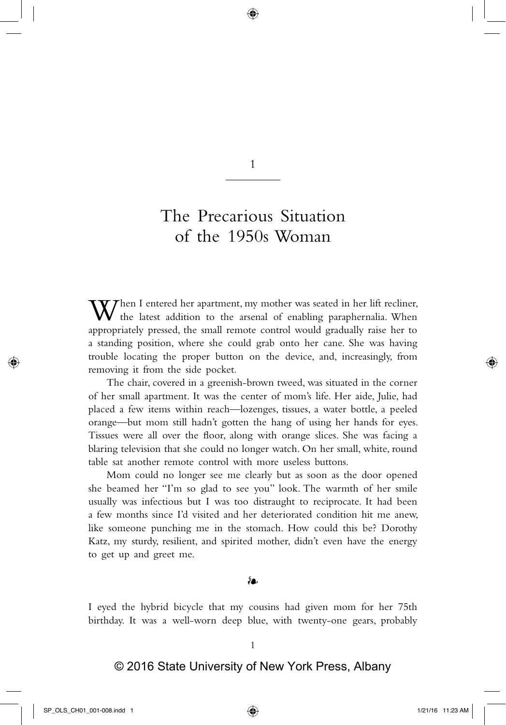# 1

# The Precarious Situation of the 1950s Woman

When I entered her apartment, my mother was seated in her lift recliner,  $\blacklozenge$  the latest addition to the arsenal of enabling paraphernalia. When appropriately pressed, the small remote control would gradually raise her to a standing position, where she could grab onto her cane. She was having trouble locating the proper button on the device, and, increasingly, from removing it from the side pocket.

The chair, covered in a greenish-brown tweed, was situated in the corner of her small apartment. It was the center of mom's life. Her aide, Julie, had placed a few items within reach—lozenges, tissues, a water bottle, a peeled orange—but mom still hadn't gotten the hang of using her hands for eyes. Tissues were all over the floor, along with orange slices. She was facing a blaring television that she could no longer watch. On her small, white, round table sat another remote control with more useless buttons.

Mom could no longer see me clearly but as soon as the door opened she beamed her "I'm so glad to see you" look. The warmth of her smile usually was infectious but I was too distraught to reciprocate. It had been a few months since I'd visited and her deteriorated condition hit me anew, like someone punching me in the stomach. How could this be? Dorothy Katz, my sturdy, resilient, and spirited mother, didn't even have the energy to get up and greet me.

#### ❧

I eyed the hybrid bicycle that my cousins had given mom for her 75th birthday. It was a well-worn deep blue, with twenty-one gears, probably

### © 2016 State University of New York Press, Albany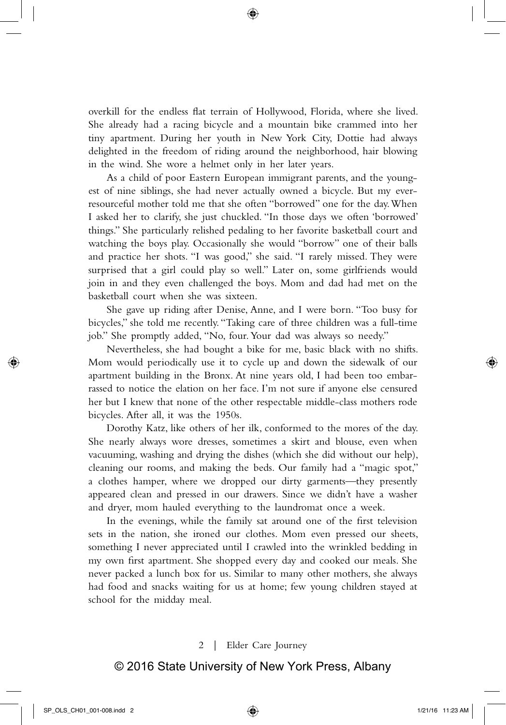overkill for the endless flat terrain of Hollywood, Florida, where she lived. She already had a racing bicycle and a mountain bike crammed into her tiny apartment. During her youth in New York City, Dottie had always delighted in the freedom of riding around the neighborhood, hair blowing in the wind. She wore a helmet only in her later years.

As a child of poor Eastern European immigrant parents, and the youngest of nine siblings, she had never actually owned a bicycle. But my everresourceful mother told me that she often "borrowed" one for the day. When I asked her to clarify, she just chuckled. "In those days we often 'borrowed' things." She particularly relished pedaling to her favorite basketball court and watching the boys play. Occasionally she would "borrow" one of their balls and practice her shots. "I was good," she said. "I rarely missed. They were surprised that a girl could play so well." Later on, some girlfriends would join in and they even challenged the boys. Mom and dad had met on the basketball court when she was sixteen.

She gave up riding after Denise, Anne, and I were born. "Too busy for bicycles," she told me recently. "Taking care of three children was a full-time job." She promptly added, "No, four. Your dad was always so needy."

Nevertheless, she had bought a bike for me, basic black with no shifts. Mom would periodically use it to cycle up and down the sidewalk of our apartment building in the Bronx. At nine years old, I had been too embarrassed to notice the elation on her face. I'm not sure if anyone else censured her but I knew that none of the other respectable middle-class mothers rode bicycles. After all, it was the 1950s.

Dorothy Katz, like others of her ilk, conformed to the mores of the day. She nearly always wore dresses, sometimes a skirt and blouse, even when vacuuming, washing and drying the dishes (which she did without our help), cleaning our rooms, and making the beds. Our family had a "magic spot," a clothes hamper, where we dropped our dirty garments—they presently appeared clean and pressed in our drawers. Since we didn't have a washer and dryer, mom hauled everything to the laundromat once a week.

In the evenings, while the family sat around one of the first television sets in the nation, she ironed our clothes. Mom even pressed our sheets, something I never appreciated until I crawled into the wrinkled bedding in my own first apartment. She shopped every day and cooked our meals. She never packed a lunch box for us. Similar to many other mothers, she always had food and snacks waiting for us at home; few young children stayed at school for the midday meal.

2 | Elder Care Journey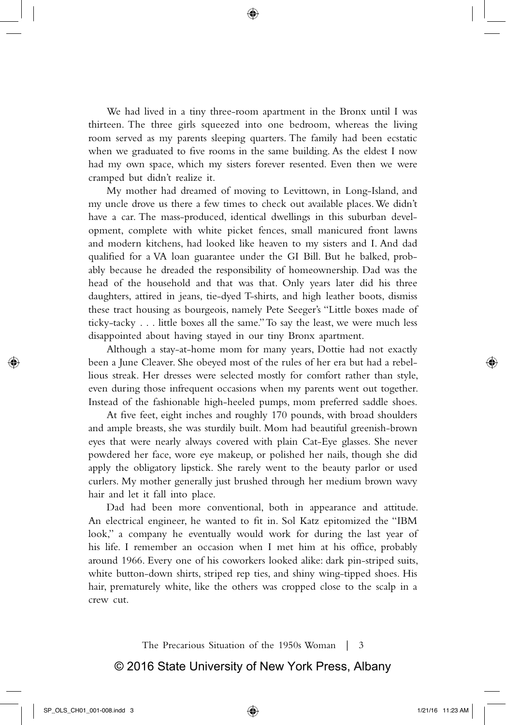We had lived in a tiny three-room apartment in the Bronx until I was thirteen. The three girls squeezed into one bedroom, whereas the living room served as my parents sleeping quarters. The family had been ecstatic when we graduated to five rooms in the same building. As the eldest I now had my own space, which my sisters forever resented. Even then we were cramped but didn't realize it.

My mother had dreamed of moving to Levittown, in Long-Island, and my uncle drove us there a few times to check out available places. We didn't have a car. The mass-produced, identical dwellings in this suburban development, complete with white picket fences, small manicured front lawns and modern kitchens, had looked like heaven to my sisters and I. And dad qualified for a VA loan guarantee under the GI Bill. But he balked, probably because he dreaded the responsibility of homeownership. Dad was the head of the household and that was that. Only years later did his three daughters, attired in jeans, tie-dyed T-shirts, and high leather boots, dismiss these tract housing as bourgeois, namely Pete Seeger's "Little boxes made of ticky-tacky . . . little boxes all the same." To say the least, we were much less disappointed about having stayed in our tiny Bronx apartment.

Although a stay-at-home mom for many years, Dottie had not exactly been a June Cleaver. She obeyed most of the rules of her era but had a rebellious streak. Her dresses were selected mostly for comfort rather than style, even during those infrequent occasions when my parents went out together. Instead of the fashionable high-heeled pumps, mom preferred saddle shoes.

At five feet, eight inches and roughly 170 pounds, with broad shoulders and ample breasts, she was sturdily built. Mom had beautiful greenish-brown eyes that were nearly always covered with plain Cat-Eye glasses. She never powdered her face, wore eye makeup, or polished her nails, though she did apply the obligatory lipstick. She rarely went to the beauty parlor or used curlers. My mother generally just brushed through her medium brown wavy hair and let it fall into place.

Dad had been more conventional, both in appearance and attitude. An electrical engineer, he wanted to fit in. Sol Katz epitomized the "IBM look," a company he eventually would work for during the last year of his life. I remember an occasion when I met him at his office, probably around 1966. Every one of his coworkers looked alike: dark pin-striped suits, white button-down shirts, striped rep ties, and shiny wing-tipped shoes. His hair, prematurely white, like the others was cropped close to the scalp in a crew cut.

The Precarious Situation of the 1950s Woman | 3

# © 2016 State University of New York Press, Albany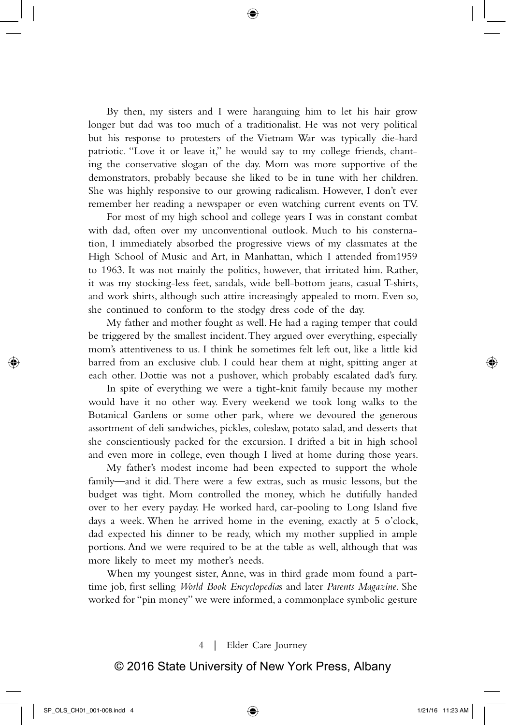By then, my sisters and I were haranguing him to let his hair grow longer but dad was too much of a traditionalist. He was not very political but his response to protesters of the Vietnam War was typically die-hard patriotic. "Love it or leave it," he would say to my college friends, chanting the conservative slogan of the day. Mom was more supportive of the demonstrators, probably because she liked to be in tune with her children. She was highly responsive to our growing radicalism. However, I don't ever remember her reading a newspaper or even watching current events on TV.

For most of my high school and college years I was in constant combat with dad, often over my unconventional outlook. Much to his consternation, I immediately absorbed the progressive views of my classmates at the High School of Music and Art, in Manhattan, which I attended from1959 to 1963. It was not mainly the politics, however, that irritated him. Rather, it was my stocking-less feet, sandals, wide bell-bottom jeans, casual T-shirts, and work shirts, although such attire increasingly appealed to mom. Even so, she continued to conform to the stodgy dress code of the day.

My father and mother fought as well. He had a raging temper that could be triggered by the smallest incident. They argued over everything, especially mom's attentiveness to us. I think he sometimes felt left out, like a little kid barred from an exclusive club. I could hear them at night, spitting anger at each other. Dottie was not a pushover, which probably escalated dad's fury.

In spite of everything we were a tight-knit family because my mother would have it no other way. Every weekend we took long walks to the Botanical Gardens or some other park, where we devoured the generous assortment of deli sandwiches, pickles, coleslaw, potato salad, and desserts that she conscientiously packed for the excursion. I drifted a bit in high school and even more in college, even though I lived at home during those years.

My father's modest income had been expected to support the whole family—and it did. There were a few extras, such as music lessons, but the budget was tight. Mom controlled the money, which he dutifully handed over to her every payday. He worked hard, car-pooling to Long Island five days a week. When he arrived home in the evening, exactly at 5 o'clock, dad expected his dinner to be ready, which my mother supplied in ample portions. And we were required to be at the table as well, although that was more likely to meet my mother's needs.

When my youngest sister, Anne, was in third grade mom found a parttime job, first selling *World Book Encyclopedia*s and later *Parents Magazine*. She worked for "pin money" we were informed, a commonplace symbolic gesture

Elder Care Journey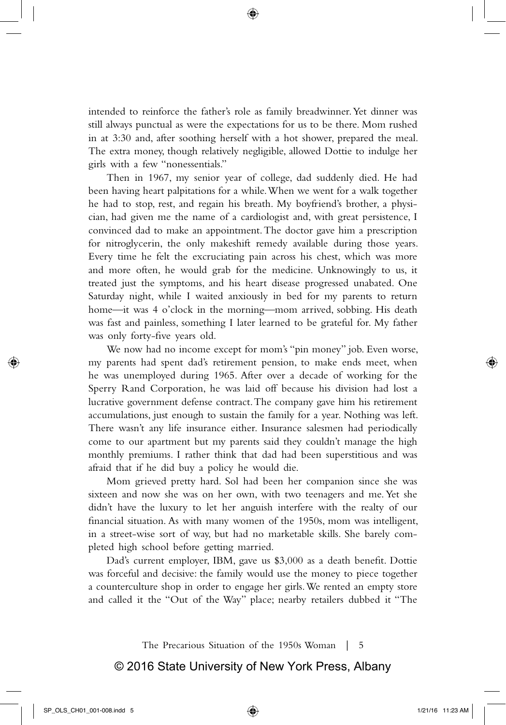intended to reinforce the father's role as family breadwinner. Yet dinner was still always punctual as were the expectations for us to be there. Mom rushed in at 3:30 and, after soothing herself with a hot shower, prepared the meal. The extra money, though relatively negligible, allowed Dottie to indulge her girls with a few "nonessentials."

Then in 1967, my senior year of college, dad suddenly died. He had been having heart palpitations for a while. When we went for a walk together he had to stop, rest, and regain his breath. My boyfriend's brother, a physician, had given me the name of a cardiologist and, with great persistence, I convinced dad to make an appointment. The doctor gave him a prescription for nitroglycerin, the only makeshift remedy available during those years. Every time he felt the excruciating pain across his chest, which was more and more often, he would grab for the medicine. Unknowingly to us, it treated just the symptoms, and his heart disease progressed unabated. One Saturday night, while I waited anxiously in bed for my parents to return home—it was 4 o'clock in the morning—mom arrived, sobbing. His death was fast and painless, something I later learned to be grateful for. My father was only forty-five years old.

We now had no income except for mom's "pin money" job. Even worse, my parents had spent dad's retirement pension, to make ends meet, when he was unemployed during 1965. After over a decade of working for the Sperry Rand Corporation, he was laid off because his division had lost a lucrative government defense contract. The company gave him his retirement accumulations, just enough to sustain the family for a year. Nothing was left. There wasn't any life insurance either. Insurance salesmen had periodically come to our apartment but my parents said they couldn't manage the high monthly premiums. I rather think that dad had been superstitious and was afraid that if he did buy a policy he would die.

Mom grieved pretty hard. Sol had been her companion since she was sixteen and now she was on her own, with two teenagers and me. Yet she didn't have the luxury to let her anguish interfere with the realty of our financial situation. As with many women of the 1950s, mom was intelligent, in a street-wise sort of way, but had no marketable skills. She barely completed high school before getting married.

Dad's current employer, IBM, gave us \$3,000 as a death benefit. Dottie was forceful and decisive: the family would use the money to piece together a counterculture shop in order to engage her girls. We rented an empty store and called it the "Out of the Way" place; nearby retailers dubbed it "The

The Precarious Situation of the 1950s Woman | 5

# © 2016 State University of New York Press, Albany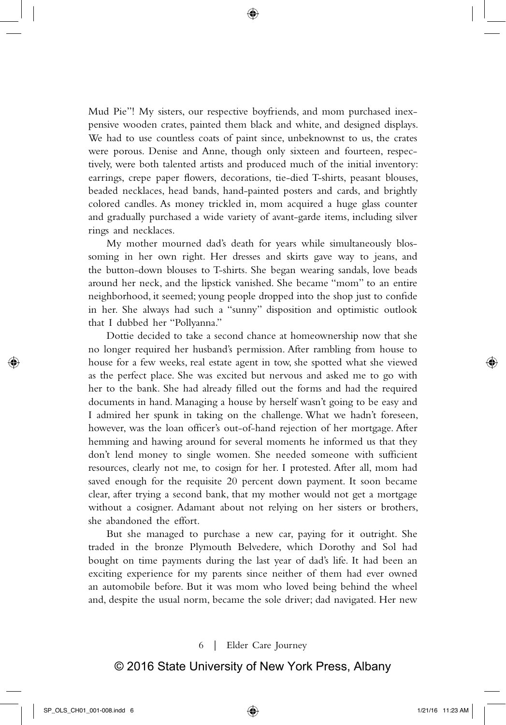Mud Pie"! My sisters, our respective boyfriends, and mom purchased inexpensive wooden crates, painted them black and white, and designed displays. We had to use countless coats of paint since, unbeknownst to us, the crates were porous. Denise and Anne, though only sixteen and fourteen, respectively, were both talented artists and produced much of the initial inventory: earrings, crepe paper flowers, decorations, tie-died T-shirts, peasant blouses, beaded necklaces, head bands, hand-painted posters and cards, and brightly colored candles. As money trickled in, mom acquired a huge glass counter and gradually purchased a wide variety of avant-garde items, including silver rings and necklaces.

My mother mourned dad's death for years while simultaneously blossoming in her own right. Her dresses and skirts gave way to jeans, and the button-down blouses to T-shirts. She began wearing sandals, love beads around her neck, and the lipstick vanished. She became "mom" to an entire neighborhood, it seemed; young people dropped into the shop just to confide in her. She always had such a "sunny" disposition and optimistic outlook that I dubbed her "Pollyanna."

Dottie decided to take a second chance at homeownership now that she no longer required her husband's permission. After rambling from house to house for a few weeks, real estate agent in tow, she spotted what she viewed as the perfect place. She was excited but nervous and asked me to go with her to the bank. She had already filled out the forms and had the required documents in hand. Managing a house by herself wasn't going to be easy and I admired her spunk in taking on the challenge. What we hadn't foreseen, however, was the loan officer's out-of-hand rejection of her mortgage. After hemming and hawing around for several moments he informed us that they don't lend money to single women. She needed someone with sufficient resources, clearly not me, to cosign for her. I protested. After all, mom had saved enough for the requisite 20 percent down payment. It soon became clear, after trying a second bank, that my mother would not get a mortgage without a cosigner. Adamant about not relying on her sisters or brothers, she abandoned the effort.

But she managed to purchase a new car, paying for it outright. She traded in the bronze Plymouth Belvedere, which Dorothy and Sol had bought on time payments during the last year of dad's life. It had been an exciting experience for my parents since neither of them had ever owned an automobile before. But it was mom who loved being behind the wheel and, despite the usual norm, became the sole driver; dad navigated. Her new

6 | Elder Care Journey